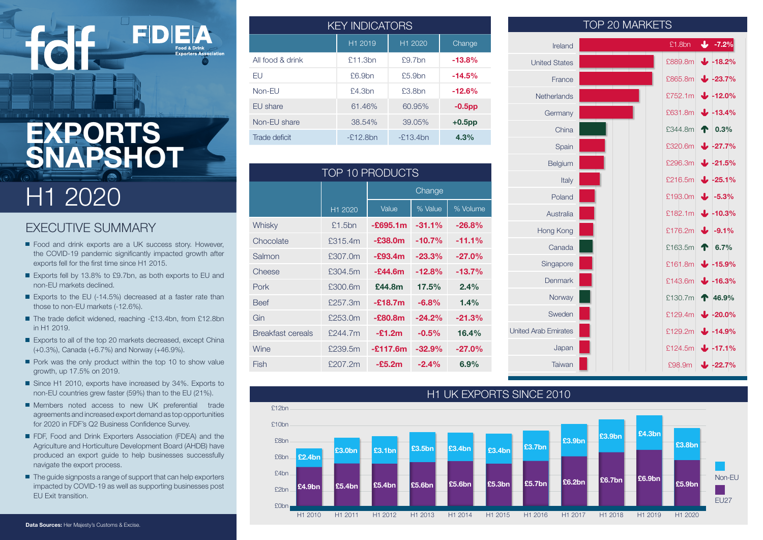# **EXPORTS SNAPSHOT**

# H1 2020

### EXECUTIVE SUMMARY

- Food and drink exports are a UK success story. However, the COVID-19 pandemic significantly impacted growth after exports fell for the first time since H1 2015.
- Exports fell by 13.8% to £9.7bn, as both exports to EU and non-EU markets declined.
- Exports to the EU (-14.5%) decreased at a faster rate than those to non-EU markets (-12.6%).
- The trade deficit widened, reaching -£13.4bn, from £12.8bn in H1 2019.
- Exports to all of the top 20 markets decreased, except China (+0.3%), Canada (+6.7%) and Norway (+46.9%).
- Pork was the only product within the top 10 to show value growth, up 17.5% on 2019.
- Since H1 2010, exports have increased by 34%. Exports to non-EU countries grew faster (59%) than to the EU (21%).
- Members noted access to new UK preferential trade agreements and increased export demand as top opportunities for 2020 in FDF's Q2 Business Confidence Survey.
- **FDF, Food and Drink Exporters Association (FDEA) and the** Agriculture and Horticulture Development Board (AHDB) have produced an export guide to help businesses successfully navigate the export process.
- The quide signposts a range of support that can help exporters impacted by COVID-19 as well as supporting businesses post EU Exit transition.

|                  | <b>KEY INDICATORS</b> |              |           |  |
|------------------|-----------------------|--------------|-----------|--|
|                  | H1 2019               | H1 2020      | Change    |  |
| All food & drink | £11.3bn               | $9.7$ hn     | $-13.8%$  |  |
| FU               | $f6.9$ hn             | $f5.9$ hn    | $-14.5%$  |  |
| $Non-FI$         | $$4.3$ hn             | £3.8bn       | $-12.6%$  |  |
| EU share         | 61.46%                | 60.95%       | $-0.5$ pp |  |
| Non-EU share     | 38.54%                | 39.05%       | $+0.5$ pp |  |
| Trade deficit    | $-2.12.8$ bn          | $-F.13.4$ bn | 4.3%      |  |

| <b>TOP 10 PRODUCTS</b> |         |            |          |          |
|------------------------|---------|------------|----------|----------|
|                        |         | Change     |          |          |
|                        | H1 2020 | Value      | % Value  | % Volume |
| Whisky                 | £1.5bn  | $-£695.1m$ | $-31.1%$ | $-26.8%$ |
| Chocolate              | £315.4m | $-£38.0m$  | $-10.7%$ | $-11.1%$ |
| Salmon                 | £307.0m | $-E93.4m$  | $-23.3%$ | $-27.0%$ |
| Cheese                 | £304.5m | $-E44.6m$  | $-12.8%$ | $-13.7%$ |
| Pork                   | £300.6m | £44.8m     | 17.5%    | 2.4%     |
| <b>Beef</b>            | £257.3m | $-£18.7m$  | $-6.8%$  | 1.4%     |
| Gin                    | £253.0m | $-E80.8m$  | $-24.2%$ | $-21.3%$ |
| Breakfast cereals      | £244.7m | $-£1.2m$   | $-0.5%$  | 16.4%    |
| Wine                   | £239.5m | $-£117.6m$ | $-32.9%$ | $-27.0%$ |
| Fish                   | £207.2m | $-E5.2m$   | $-2.4%$  | 6.9%     |

|                             | $\cdots$ $\cdots$ |         |                     |
|-----------------------------|-------------------|---------|---------------------|
| Ireland                     |                   | £1.8bn  | $\mathbf{L}$ -7.2%  |
| <b>United States</b>        |                   | £889.8m | $\bigvee$ -18.2%    |
| France                      |                   | £865.8m | $1.23.7\%$          |
| <b>Netherlands</b>          |                   | £752.1m | $\bigvee$ -12.0%    |
| Germany                     |                   | £631.8m | $13.4\%$            |
| China                       |                   | £344.8m | $\bigcap$ 0.3%      |
| Spain                       |                   | £320.6m | $1 - 27.7%$         |
| Belgium                     |                   | £296.3m | $\bigvee$ -21.5%    |
| Italy                       |                   | £216.5m | $1.25.1\%$          |
| Poland                      |                   | £193.0m | $\bigvee$ -5.3%     |
| Australia                   |                   | £182.1m | $\bigvee$ -10.3%    |
| Hong Kong                   |                   | £176.2m | $\bigcup$ -9.1%     |
| Canada                      |                   | £163.5m | $\bullet$ 6.7%      |
| Singapore                   |                   | £161.8m | $\downarrow$ -15.9% |
| <b>Denmark</b>              |                   | £143.6m | $\bigvee$ -16.3%    |
| Norway                      |                   | £130.7m | 146.9%              |
| Sweden                      |                   | £129.4m | $\bigvee$ -20.0%    |
| <b>United Arab Emirates</b> |                   | £129.2m | 14.9%               |
| Japan                       |                   | £124.5m | $\downarrow$ -17.1% |
| Taiwan                      |                   | £98.9m  | $1 - 22.7\%$        |

TOP 20 MARKETS

#### H1 UK EXPORTS SINCE 2010 Non-EU EU27 H1 2010 H1 2011 H1 2012 H1 2013 H1 2014 H1 2015 H1 2016 H1 2017 H1 2018 H1 2019 H1 2020 £12bn £10bn £8bn £6bn £4bn £2bn £0bn **£2.4bn £3.0bn £3.1bn £3.5bn £3.4bn £3.4bn £3.7bn £3.9bn £3.9bn £4.3bn £3.8bn £4.9bn £5.4bn £5.4bn £5.6bn £5.6bn £5.3bn £5.7bn £6.2bn £6.7bn £6.9bn £5.9bn**

#### **Data Sources:** Her Majesty's Customs & Excise.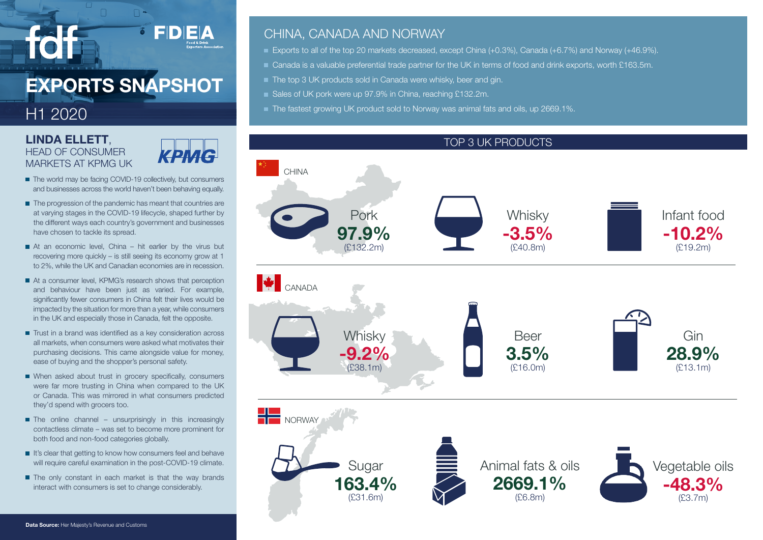# **EXPORTS SNAPSHOT**

## H1 2020

## **LINDA ELLETT**, HEAD OF CONSUMER MARKETS AT KPMG UK



FDEA

- The world may be facing COVID-19 collectively, but consumers and businesses across the world haven't been behaving equally.
- The progression of the pandemic has meant that countries are at varying stages in the COVID-19 lifecycle, shaped further by the different ways each country's government and businesses have chosen to tackle its spread.
- At an economic level, China hit earlier by the virus but recovering more quickly – is still seeing its economy grow at 1 to 2%, while the UK and Canadian economies are in recession.
- At a consumer level, KPMG's research shows that perception and behaviour have been just as varied. For example, significantly fewer consumers in China felt their lives would be impacted by the situation for more than a year, while consumers in the UK and especially those in Canada, felt the opposite.
- Trust in a brand was identified as a key consideration across all markets, when consumers were asked what motivates their purchasing decisions. This came alongside value for money, ease of buying and the shopper's personal safety.
- When asked about trust in grocery specifically, consumers were far more trusting in China when compared to the UK or Canada. This was mirrored in what consumers predicted they'd spend with grocers too.
- $\blacksquare$  The online channel unsurprisingly in this increasingly contactless climate – was set to become more prominent for both food and non-food categories globally.
- It's clear that getting to know how consumers feel and behave will require careful examination in the post-COVID-19 climate.
- The only constant in each market is that the way brands interact with consumers is set to change considerably.

### CHINA, CANADA AND NORWAY

- Exports to all of the top 20 markets decreased, except China (+0.3%), Canada (+6.7%) and Norway (+46.9%).
- Canada is a valuable preferential trade partner for the UK in terms of food and drink exports, worth £163.5m.
- The top 3 UK products sold in Canada were whisky, beer and gin.
- Sales of UK pork were up 97.9% in China, reaching £132.2m.
- The fastest growing UK product sold to Norway was animal fats and oils, up 2669.1%.